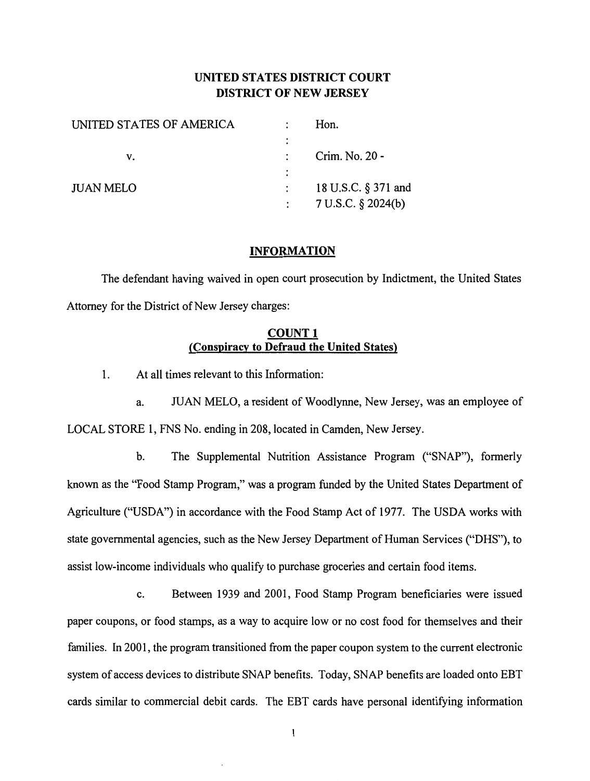## **UNITED STATES DISTRICT COURT DISTRICT OF NEW JERSEY**

| Crim. No. 20 -     |
|--------------------|
|                    |
| 7 U.S.C. § 2024(b) |
|                    |

#### **INFORMATION**

The defendant having waived in open court prosecution by Indictment, the United States Attorney for the District of New Jersey charges:

### **COUNT 1 (Conspiracy to Defraud the United States)**

1. At all times relevant to this Information:

a. JUAN MELO, a resident of Woodlynne, New Jersey, was an employee of LOCAL STORE 1, FNS No. ending in 208, located in Camden, New Jersey.

b. The Supplemental Nutrition Assistance Program ("SNAP"), formerly known as the "Food Stamp Program," was a program funded by the United States Department of Agriculture ("USDA") in accordance with the Food Stamp Act of 1977. The USDA works with state governmental agencies, such as the New Jersey Department of Human Services ("DHS"), to assist low-income individuals who qualify to purchase groceries and certain food items.

c. Between 1939 and 2001, Food Stamp Program beneficiaries were issued paper coupons, or food stamps, as a way to acquire low or no cost food for themselves and their families. In 2001, the program transitioned from the paper coupon system to the current electronic system of access devices to distribute SNAP benefits. Today, SNAP benefits are loaded onto EBT cards similar to commercial debit cards. The EBT cards have personal identifying information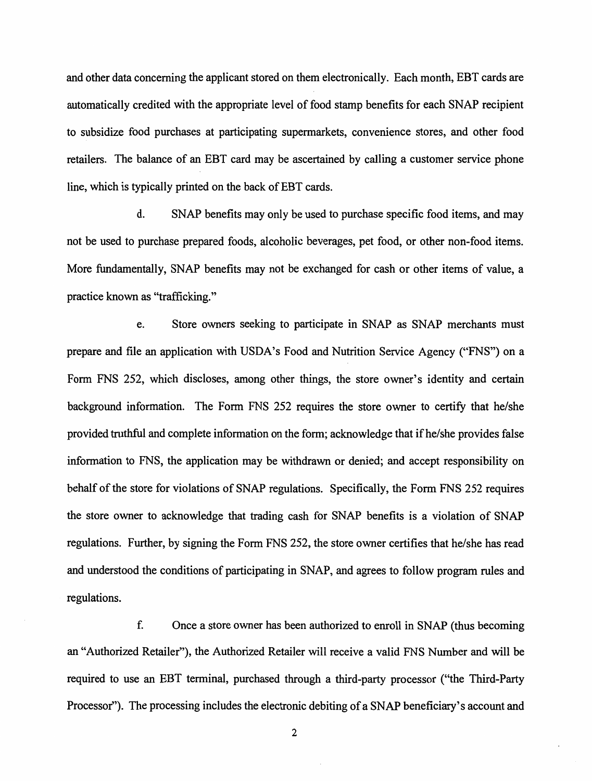and other data concerning the applicant stored on them electronically. Each month, EBT cards are automatically credited with the appropriate level of food stamp benefits for each SNAP recipient to subsidize food purchases at participating supermarkets, convenience stores, and other food retailers. The balance of an EBT card may be ascertained by calling a customer service phone line, which is typically printed on the back of EBT cards.

d. SNAP benefits may only be used to purchase specific food items, and may not be used to purchase prepared foods, alcoholic beverages, pet food, or other non-food items. More fundamentally, SNAP benefits may not be exchanged for cash or other items of value, a practice known as "trafficking."

e. Store owners seeking to participate in SNAP as SNAP merchants must prepare and file an application with USDA's Food and Nutrition Service Agency ("FNS") on a Form FNS 252, which discloses, among other things, the store owner's identity and certain background information. The Form FNS 252 requires the store owner to certify that he/she provided truthful and complete information on the form; acknowledge that if he/she provides false information to FNS, the application may be withdrawn or denied; and accept responsibility on behalf of the store for violations of SNAP regulations. Specifically, the Form FNS 252 requires the store owner to acknowledge that trading cash for SNAP benefits is a violation of SNAP regulations. Further, by signing the Form FNS 252, the store owner certifies that he/she has read and understood the conditions of participating in SNAP, and agrees to follow program rules and regulations.

f. Once a store owner has been authorized to enroll in SNAP (thus becoming an "Authorized Retailer"), the Authorized Retailer will receive a valid FNS Number and will be required to use an EBT terminal, purchased through a third-party processor ("the Third-Party Processor"). The processing includes the electronic debiting of a SNAP beneficiary's account and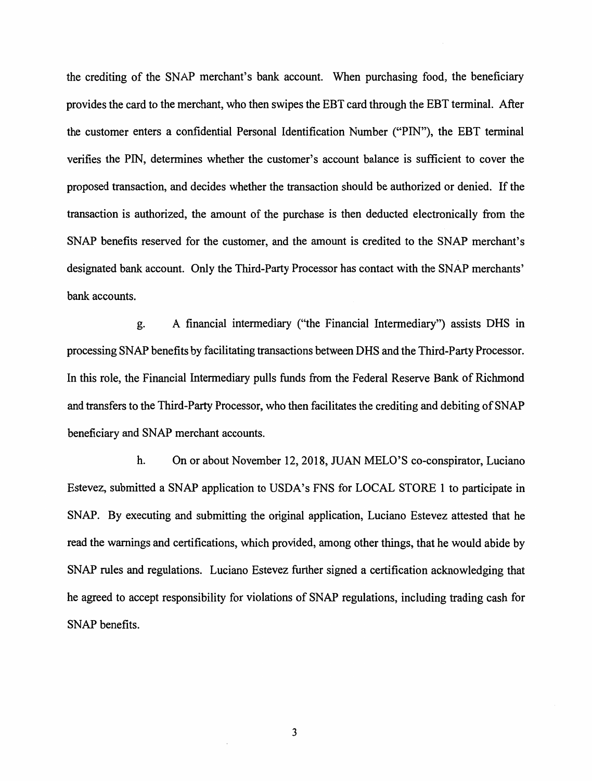the crediting of the SNAP merchant's bank account. When purchasing food, the beneficiary provides the card to the merchant, who then swipes the EBT card through the EBT terminal. After the customer enters a confidential Personal Identification Number ("PIN"), the EBT terminal verifies the PIN, determines whether the customer's account balance is sufficient to cover the proposed transaction, and decides whether the transaction should be authorized or denied. If the transaction is authorized, the amount of the purchase is then deducted electronically from the SNAP benefits reserved for the customer, and the amount is credited to the SNAP merchant's designated bank account. Only the Third-Party Processor has contact with the SNAP merchants' bank accounts.

g. A financial intermediary ("the Financial Intermediary") assists DHS in processing SNAP benefits by facilitating transactions between DHS and the Third-Party Processor. In this role, the Financial Intermediary pulls funds from the Federal Reserve Bank of Richmond and transfers to the Third-Party Processor, who then facilitates the crediting and debiting of SNAP beneficiary and SNAP merchant accounts.

h. On or about November 12, 2018, JUAN MELO'S co-conspirator, Luciano Estevez, submitted a SNAP application to USDA's FNS for LOCAL STORE 1 to participate in SNAP. By executing and submitting the original application, Luciano Estevez attested that he read the warnings and certifications, which provided, among other things, that he would abide by SNAP rules and regulations. Luciano Estevez further signed a certification acknowledging that he agreed to accept responsibility for violations of SNAP regulations, including trading cash for SNAP benefits.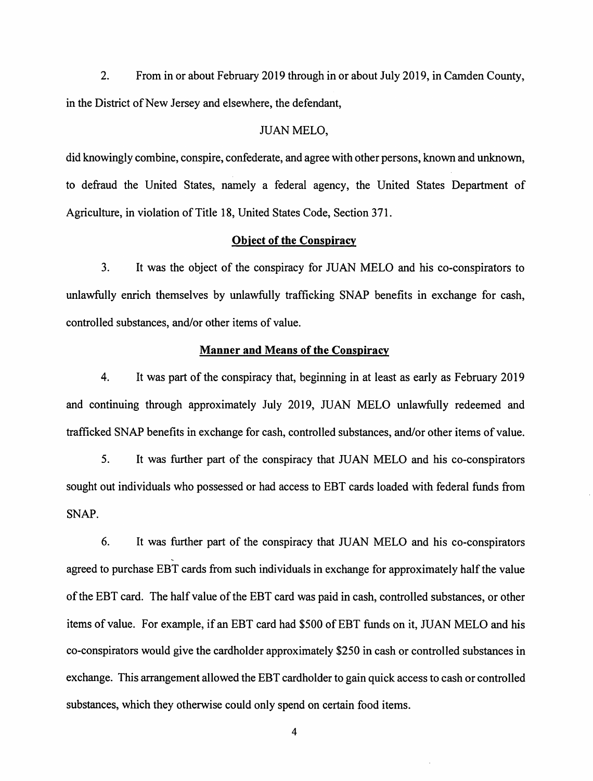2. From in or about February 2019 through in or about July 2019, in Camden County, in the District of New Jersey and elsewhere, the defendant,

#### JUAN MELO,

did knowingly combine, conspire, confederate, and agree with other persons, known and unknown, to defraud the United States, namely a federal agency, the United States Department of Agriculture, in violation of Title 18, United States Code, Section 371.

### **Object of the Conspiracy**

3. It was the object of the conspiracy for WAN MELO and his co-conspirators to unlawfully enrich themselves by unlawfully trafficking SNAP benefits in exchange for cash, controlled substances, and/or other items of value.

### **Manner and Means of the Conspiracy**

4. It was part of the conspiracy that, beginning in at least as early as February 2019 and continuing through approximately July 2019, JUAN MELO unlawfully redeemed and trafficked SNAP benefits in exchange for cash, controlled substances, and/or other items of value.

5. It was further part of the conspiracy that WAN MELO and his co-conspirators sought out individuals who possessed or had access to EBT cards loaded with federal funds from SNAP.

6. It was further part of the conspiracy that WAN MELO and his co-conspirators agreed to purchase EBT cards from such individuals in exchange for approximately half the value of the EBT card. The half value of the EBT card was paid in cash, controlled substances, or other items of value. For example, if an EBT card had \$500 of EBT funds on it, JUAN MELO and his co-conspirators would give the cardholder approximately \$250 in cash or controlled substances in exchange. This arrangement allowed the EBT cardholder to gain quick access to cash or controlled substances, which they otherwise could only spend on certain food items.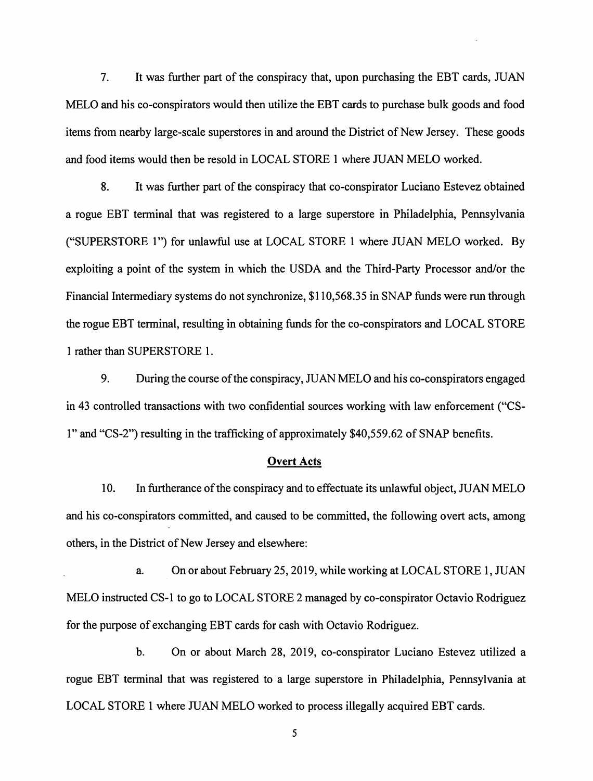7. It was further part of the conspiracy that, upon purchasing the EBT cards, JUAN MELO and his co-conspirators would then utilize the EBT cards to purchase bulk goods and food items from nearby large-scale superstores in and around the District of New Jersey. These goods and food items would then be resold in LOCAL STORE 1 where JUAN MELO worked.

8. It was further part of the conspiracy that co-conspirator Luciano Estevez obtained a rogue EBT terminal that was registered to a large superstore in Philadelphia, Pennsylvania ("SUPERSTORE 1") for unlawful use at LOCAL STORE 1 where JUAN MELO worked. By exploiting a point of the system in which the USDA and the Third-Party Processor and/or the Financial Intermediary systems do not synchronize, \$110,568.35 in SNAP funds were run through the rogue EBT terminal, resulting in obtaining funds for the co-conspirators and LOCAL STORE 1 rather than SUPERSTORE 1.

9. During the course of the conspiracy, JU AN MELO and his co-conspirators engaged in 43 controlled transactions with two confidential sources working with law enforcement ("CS-1" and "CS-2") resulting in the trafficking of approximately \$40,559.62 of SNAP benefits.

#### **Overt Acts**

10. In furtherance of the conspiracy and to effectuate its unlawful object, JUAN MELO and his co-conspirators committed, and caused to be committed, the following overt acts, among others, in the District of New Jersey and elsewhere:

a. On or about February 25, 2019, while working at LOCAL STORE 1, JUAN MELO instructed CS-1 to go to LOCAL STORE 2 managed by co-conspirator Octavio Rodriguez for the purpose of exchanging EBT cards for cash with Octavio Rodriguez.

b. On or about March 28, 2019, co-conspirator Luciano Estevez utilized a rogue EBT terminal that was registered to a large superstore in Philadelphia, Pennsylvania at LOCAL STORE 1 where JUAN MELO worked to process illegally acquired EBT cards.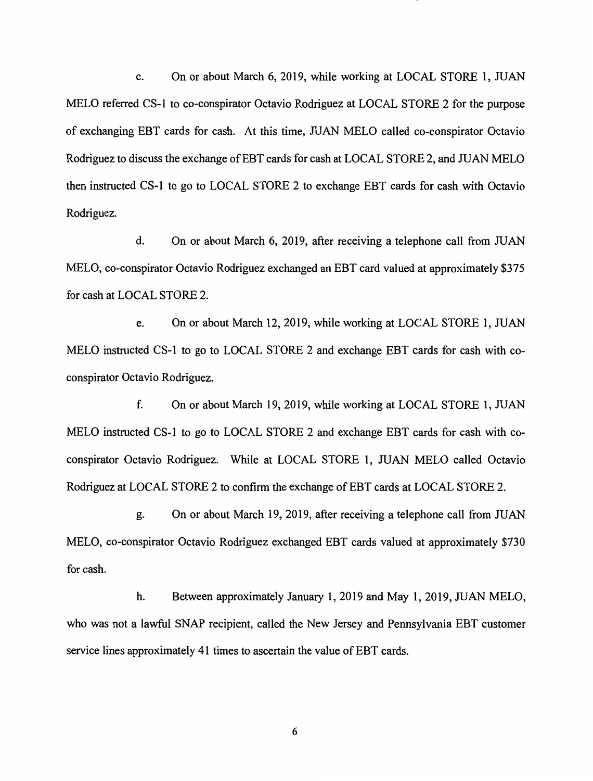c. On or about March 6, 2019, while working at LOCAL STORE 1, JUAN MELO referred CS-I to co-conspirator Octavio Rodriguez at LOCAL STORE 2 for the purpose of exchanging EBT cards for cash. At this time, JU AN MELO called co-conspirator Octavio Rodriguez to discuss the exchange of EBT cards for cash at LOCAL STORE 2, and JUAN MELO then instructed CS-I to go to LOCAL STORE 2 to exchange EBT cards for cash with Octavio Rodriguez.

d. On or about March 6, 2019, after receiving a telephone call from JUAN MELO, co-conspirator Octavio Rodriguez exchanged an EBT card valued at approximately \$375 for cash at LOCAL STORE 2.

e. On or about March 12, 2019, while working at LOCAL STORE 1, JUAN MELO instructed CS-I to go to LOCAL STORE 2 and exchange EBT cards for cash with coconspirator Octavio Rodriguez.

f. On or about March 19, 2019, while working at LOCAL STORE 1, JUAN MELO instructed CS-I to go to LOCAL STORE 2 and exchange EBT cards for cash with coconspirator Octavio Rodriguez. While at LOCAL STORE 1, JUAN MELO called Octavio Rodriguez at LOCAL STORE 2 to confirm the exchange of EBT cards at LOCAL STORE 2.

g. On or about March 19, 2019, after receiving a telephone call from JUAN MELO, co-conspirator Octavio Rodriguez exchanged EBT cards valued at approximately \$730 for cash.

h. Between approximately January 1, 2019 and May 1, 2019, JUAN MELO, who was not a lawful SNAP recipient, called the New Jersey and Pennsylvania EBT customer service lines approximately 41 times to ascertain the value of EBT cards.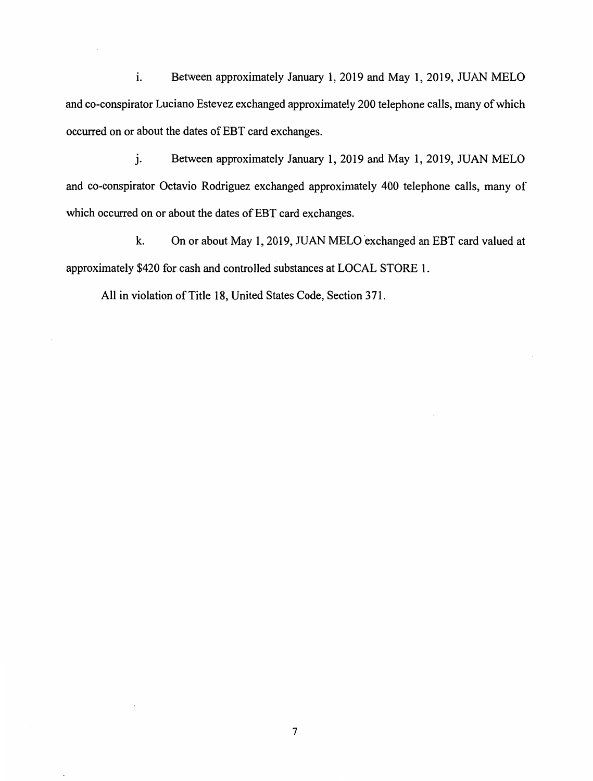i. Between approximately January 1, 2019 and May 1, 2019, JUAN MELO and co-conspirator Luciano Estevez exchanged approximately 200 telephone calls, many of which occurred on or about the dates of EBT card exchanges.

j. Between approximately January 1, 2019 and May 1, 2019, JUAN MELO and co-conspirator Octavio Rodriguez exchanged approximately 400 telephone calls, many of which occurred on or about the dates of EBT card exchanges.

k. On or about May 1, 2019, JUAN MELO exchanged an EBT card valued at approximately \$420 for cash and controlled substances at LOCAL STORE 1.

All in violation of Title 18, United States Code, Section 371.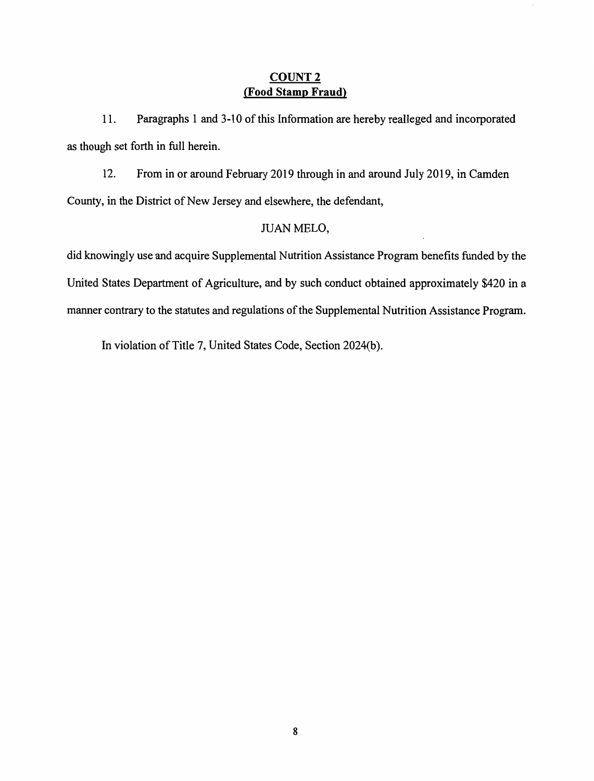## **COUNT2 (Food Stamp Fraud)**

11. Paragraphs 1 and 3-10 of this Information are hereby realleged and incorporated as though set forth in full herein.

12. From in or around February 2019 through in and around July 2019, in Camden County, in the District of New Jersey and elsewhere, the defendant,

## JUAN MELO,

did knowingly use and acquire Supplemental Nutrition Assistance Program benefits funded by the United States Department of Agriculture, and by such conduct obtained approximately \$420 in a manner contrary to the statutes and regulations of the Supplemental Nutrition Assistance Program.

In violation of Title 7, United States Code, Section 2024(b).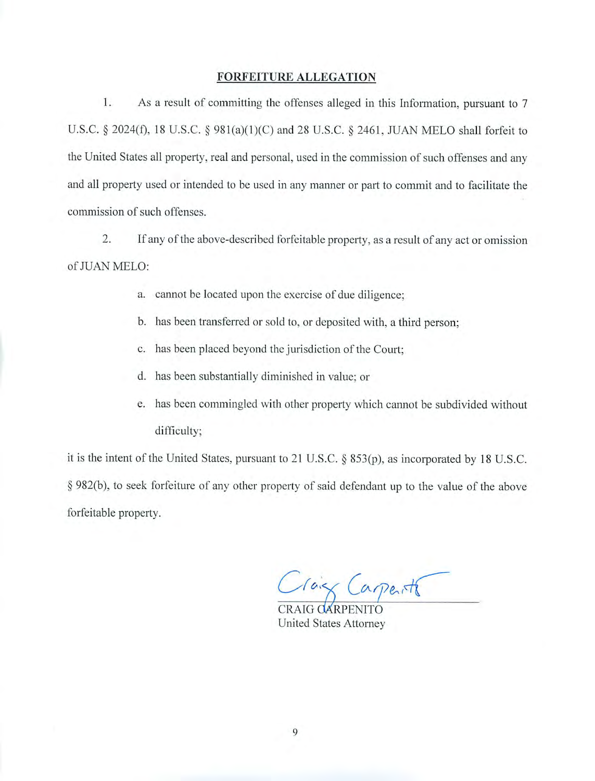#### **FORFEITURE ALLEGATION**

 $1.$ As a result of committing the offenses alleged in this Information, pursuant to 7 U.S.C. § 2024(f), 18 U.S.C. § 981(a)(1)(C) and 28 U.S.C. § 2461, JUAN MELO shall forfeit to the United States all property, real and personal, used in the commission of such offenses and any and all property used or intended to be used in any manner or part to commit and to facilitate the commission of such offenses.

2. If any of the above-described forfeitable property, as a result of any act or omission of JUAN MELO:

- a. cannot be located upon the exercise of due diligence;
- b. has been transferred or sold to, or deposited with, a third person;
- c. has been placed beyond the jurisdiction of the Court;
- d. has been substantially diminished in value; or
- e. has been commingled with other property which cannot be subdivided without difficulty;

it is the intent of the United States, pursuant to 21 U.S.C. § 853(p), as incorporated by 18 U.S.C. § 982(b), to seek forfeiture of any other property of said defendant up to the value of the above forfeitable property.

Tais Carpente

CRAIG CARPENITO United States Attorney